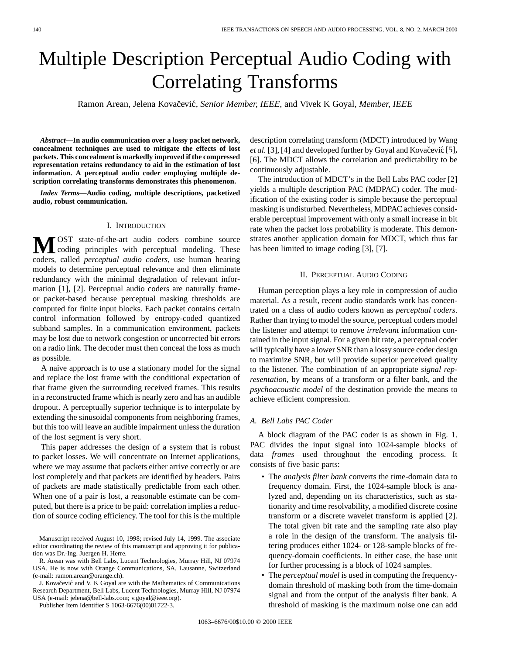# Multiple Description Perceptual Audio Coding with Correlating Transforms

Ramon Arean, Jelena Kovačević, Senior Member, IEEE, and Vivek K Goyal, Member, IEEE

*Abstract—***In audio communication over a lossy packet network, concealment techniques are used to mitigate the effects of lost packets. This concealment is markedly improved if the compressed representation retains redundancy to aid in the estimation of lost information. A perceptual audio coder employing multiple description correlating transforms demonstrates this phenomenon.**

*Index Terms—***Audio coding, multiple descriptions, packetized audio, robust communication.**

#### I. INTRODUCTION

**M**OST state-of-the-art audio coders combine source<br>coding principles with perceptual modeling. These coders, called *perceptual audio coders*, use human hearing models to determine perceptual relevance and then eliminate redundancy with the minimal degradation of relevant information [1], [2]. Perceptual audio coders are naturally frameor packet-based because perceptual masking thresholds are computed for finite input blocks. Each packet contains certain control information followed by entropy-coded quantized subband samples. In a communication environment, packets may be lost due to network congestion or uncorrected bit errors on a radio link. The decoder must then conceal the loss as much as possible.

A naive approach is to use a stationary model for the signal and replace the lost frame with the conditional expectation of that frame given the surrounding received frames. This results in a reconstructed frame which is nearly zero and has an audible dropout. A perceptually superior technique is to interpolate by extending the sinusoidal components from neighboring frames, but this too will leave an audible impairment unless the duration of the lost segment is very short.

This paper addresses the design of a system that is robust to packet losses. We will concentrate on Internet applications, where we may assume that packets either arrive correctly or are lost completely and that packets are identified by headers. Pairs of packets are made statistically predictable from each other. When one of a pair is lost, a reasonable estimate can be computed, but there is a price to be paid: correlation implies a reduction of source coding efficiency. The tool for this is the multiple

J. Kovačević and V. K Goyal are with the Mathematics of Communications Research Department, Bell Labs, Lucent Technologies, Murray Hill, NJ 07974 USA (e-mail: jelena@bell-labs.com; v.goyal@ieee.org).

Publisher Item Identifier S 1063-6676(00)01722-3.

description correlating transform (MDCT) introduced by Wang *et al.* [3], [4] and developed further by Goyal and Kovačević [5], [6]. The MDCT allows the correlation and predictability to be continuously adjustable.

The introduction of MDCT's in the Bell Labs PAC coder [2] yields a multiple description PAC (MDPAC) coder. The modification of the existing coder is simple because the perceptual masking is undisturbed. Nevertheless, MDPAC achieves considerable perceptual improvement with only a small increase in bit rate when the packet loss probability is moderate. This demonstrates another application domain for MDCT, which thus far has been limited to image coding [3], [7].

### II. PERCEPTUAL AUDIO CODING

Human perception plays a key role in compression of audio material. As a result, recent audio standards work has concentrated on a class of audio coders known as *perceptual coders*. Rather than trying to model the source, perceptual coders model the listener and attempt to remove *irrelevant* information contained in the input signal. For a given bit rate, a perceptual coder will typically have a lower SNR than a lossy source coder design to maximize SNR, but will provide superior perceived quality to the listener. The combination of an appropriate *signal representation*, by means of a transform or a filter bank, and the *psychoacoustic model* of the destination provide the means to achieve efficient compression.

# *A. Bell Labs PAC Coder*

A block diagram of the PAC coder is as shown in Fig. 1. PAC divides the input signal into 1024-sample blocks of data—*frames*—used throughout the encoding process. It consists of five basic parts:

- The *analysis filter bank* converts the time-domain data to frequency domain. First, the 1024-sample block is analyzed and, depending on its characteristics, such as stationarity and time resolvability, a modified discrete cosine transform or a discrete wavelet transform is applied [2]. The total given bit rate and the sampling rate also play a role in the design of the transform. The analysis filtering produces either 1024- or 128-sample blocks of frequency-domain coefficients. In either case, the base unit for further processing is a block of 1024 samples.
- The *perceptual model* is used in computing the frequencydomain threshold of masking both from the time-domain signal and from the output of the analysis filter bank. A threshold of masking is the maximum noise one can add

Manuscript received August 10, 1998; revised July 14, 1999. The associate editor coordinating the review of this manuscript and approving it for publication was Dr.-Ing. Juergen H. Herre.

R. Arean was with Bell Labs, Lucent Technologies, Murray Hill, NJ 07974 USA. He is now with Orange Communications, SA, Lausanne, Switzerland (e-mail: ramon.arean@orange.ch).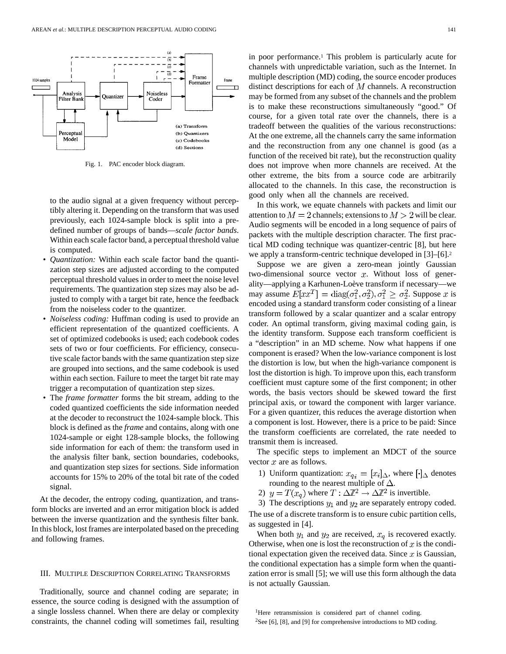

Fig. 1. PAC encoder block diagram.

to the audio signal at a given frequency without perceptibly altering it. Depending on the transform that was used previously, each 1024-sample block is split into a predefined number of groups of bands—*scale factor bands*. Within each scale factor band, a perceptual threshold value is computed.

- *Quantization:* Within each scale factor band the quantization step sizes are adjusted according to the computed perceptual threshold values in order to meet the noise level requirements. The quantization step sizes may also be adjusted to comply with a target bit rate, hence the feedback from the noiseless coder to the quantizer.
- *Noiseless coding:* Huffman coding is used to provide an efficient representation of the quantized coefficients. A set of optimized codebooks is used; each codebook codes sets of two or four coefficients. For efficiency, consecutive scale factor bands with the same quantization step size are grouped into sections, and the same codebook is used within each section. Failure to meet the target bit rate may trigger a recomputation of quantization step sizes.
- The *frame formatter* forms the bit stream, adding to the coded quantized coefficients the side information needed at the decoder to reconstruct the 1024-sample block. This block is defined as the *frame* and contains, along with one 1024-sample or eight 128-sample blocks, the following side information for each of them: the transform used in the analysis filter bank, section boundaries, codebooks, and quantization step sizes for sections. Side information accounts for 15% to 20% of the total bit rate of the coded signal.

At the decoder, the entropy coding, quantization, and transform blocks are inverted and an error mitigation block is added between the inverse quantization and the synthesis filter bank. In this block, lost frames are interpolated based on the preceding and following frames.

## III. MULTIPLE DESCRIPTION CORRELATING TRANSFORMS

Traditionally, source and channel coding are separate; in essence, the source coding is designed with the assumption of a single lossless channel. When there are delay or complexity constraints, the channel coding will sometimes fail, resulting

in poor performance.1 This problem is particularly acute for channels with unpredictable variation, such as the Internet. In multiple description (MD) coding, the source encoder produces distinct descriptions for each of  $M$  channels. A reconstruction may be formed from any subset of the channels and the problem is to make these reconstructions simultaneously "good." Of course, for a given total rate over the channels, there is a tradeoff between the qualities of the various reconstructions: At the one extreme, all the channels carry the same information and the reconstruction from any one channel is good (as a function of the received bit rate), but the reconstruction quality does not improve when more channels are received. At the other extreme, the bits from a source code are arbitrarily allocated to the channels. In this case, the reconstruction is good only when all the channels are received.

In this work, we equate channels with packets and limit our attention to  $M = 2$  channels; extensions to  $M > 2$  will be clear. Audio segments will be encoded in a long sequence of pairs of packets with the multiple description character. The first practical MD coding technique was quantizer-centric [8], but here we apply a transform-centric technique developed in [3]–[6].2

Suppose we are given a zero-mean jointly Gaussian two-dimensional source vector  $x$ . Without loss of generality—applying a Karhunen-Loève transform if necessary—we may assume  $E[xx^T] = \text{diag}(\sigma_1^2, \sigma_2^2), \sigma_1^2 \ge \sigma_2^2$ . Suppose x is encoded using a standard transform coder consisting of a linear transform followed by a scalar quantizer and a scalar entropy coder. An optimal transform, giving maximal coding gain, is the identity transform. Suppose each transform coefficient is a "description" in an MD scheme. Now what happens if one component is erased? When the low-variance component is lost the distortion is low, but when the high-variance component is lost the distortion is high. To improve upon this, each transform coefficient must capture some of the first component; in other words, the basis vectors should be skewed toward the first principal axis, or toward the component with larger variance. For a given quantizer, this reduces the average distortion when a component is lost. However, there is a price to be paid: Since the transform coefficients are correlated, the rate needed to transmit them is increased.

The specific steps to implement an MDCT of the source vector  $x$  are as follows.

- 1) Uniform quantization:  $x_{q_i} = [x_i]_{\Delta}$ , where  $\lceil \cdot \rceil_{\Delta}$  denotes rounding to the nearest multiple of  $\Delta$ .
- 2)  $y = T(x_q)$  where  $T : \Delta \mathbb{Z}^2 \to \Delta \mathbb{Z}^2$  is invertible.

3) The descriptions  $y_1$  and  $y_2$  are separately entropy coded. The use of a discrete transform is to ensure cubic partition cells, as suggested in [4].

When both  $y_1$  and  $y_2$  are received,  $x_q$  is recovered exactly. Otherwise, when one is lost the reconstruction of  $x$  is the conditional expectation given the received data. Since  $x$  is Gaussian, the conditional expectation has a simple form when the quantization error is small [5]; we will use this form although the data is not actually Gaussian.

<sup>1</sup>Here retransmission is considered part of channel coding. 2See [6], [8], and [9] for comprehensive introductions to MD coding.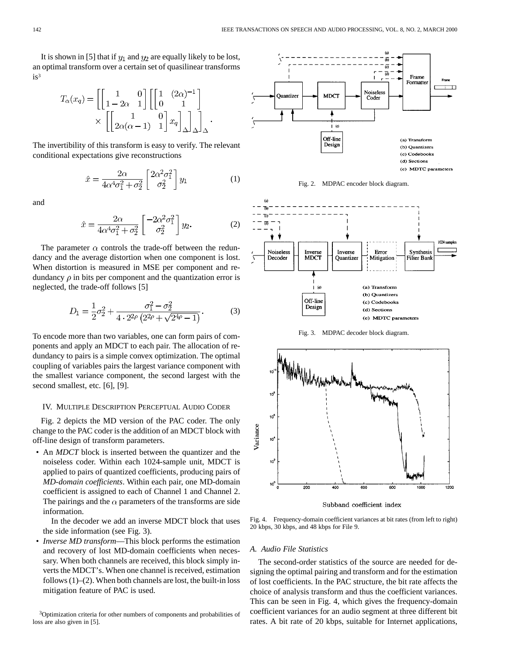It is shown in [5] that if  $y_1$  and  $y_2$  are equally likely to be lost, an optimal transform over a certain set of quasilinear transforms is3

$$
T_{\alpha}(x_q) = \left[ \begin{bmatrix} 1 & 0 \\ 1 - 2\alpha & 1 \end{bmatrix} \begin{bmatrix} 1 & (2\alpha)^{-1} \\ 0 & 1 \end{bmatrix} \right]
$$

$$
\times \left[ \begin{bmatrix} 1 & 0 \\ 2\alpha(\alpha - 1) & 1 \end{bmatrix} x_q \right]_{\Delta} \right]_{\Delta}.
$$

The invertibility of this transform is easy to verify. The relevant conditional expectations give reconstructions

$$
\hat{x} = \frac{2\alpha}{4\alpha^4 \sigma_1^2 + \sigma_2^2} \begin{bmatrix} 2\alpha^2 \sigma_1^2 \\ \sigma_2^2 \end{bmatrix} y_1 \tag{1}
$$

and

$$
\hat{x} = \frac{2\alpha}{4\alpha^4 \sigma_1^2 + \sigma_2^2} \begin{bmatrix} -2\alpha^2 \sigma_1^2 \\ \sigma_2^2 \end{bmatrix} y_2.
$$
 (2)

The parameter  $\alpha$  controls the trade-off between the redundancy and the average distortion when one component is lost. When distortion is measured in MSE per component and redundancy  $\rho$  in bits per component and the quantization error is neglected, the trade-off follows [5]

$$
D_1 = \frac{1}{2}\sigma_2^2 + \frac{\sigma_1^2 - \sigma_2^2}{4 \cdot 2^{2\rho} \left(2^{2\rho} + \sqrt{2^{4\rho} - 1}\right)}.
$$
 (3)

To encode more than two variables, one can form pairs of components and apply an MDCT to each pair. The allocation of redundancy to pairs is a simple convex optimization. The optimal coupling of variables pairs the largest variance component with the smallest variance component, the second largest with the second smallest, etc. [6], [9].

#### IV. MULTIPLE DESCRIPTION PERCEPTUAL AUDIO CODER

Fig. 2 depicts the MD version of the PAC coder. The only change to the PAC coder is the addition of an MDCT block with off-line design of transform parameters.

• An *MDCT* block is inserted between the quantizer and the noiseless coder. Within each 1024-sample unit, MDCT is applied to pairs of quantized coefficients, producing pairs of *MD-domain coefficients*. Within each pair, one MD-domain coefficient is assigned to each of Channel 1 and Channel 2. The pairings and the  $\alpha$  parameters of the transforms are side information.

In the decoder we add an inverse MDCT block that uses the side information (see Fig. 3).

• *Inverse MD transform*—This block performs the estimation and recovery of lost MD-domain coefficients when necessary. When both channels are received, this block simply inverts the MDCT's. When one channel is received, estimation follows  $(1)$ – $(2)$ . When both channels are lost, the built-in loss mitigation feature of PAC is used.

<sup>3</sup>Optimization criteria for other numbers of components and probabilities of loss are also given in [5].



Fig. 2. MDPAC encoder block diagram.







Subband coefficient index

Fig. 4. Frequency-domain coefficient variances at bit rates (from left to right) 20 kbps, 30 kbps, and 48 kbps for File 9.

#### *A. Audio File Statistics*

The second-order statistics of the source are needed for designing the optimal pairing and transform and for the estimation of lost coefficients. In the PAC structure, the bit rate affects the choice of analysis transform and thus the coefficient variances. This can be seen in Fig. 4, which gives the frequency-domain coefficient variances for an audio segment at three different bit rates. A bit rate of 20 kbps, suitable for Internet applications,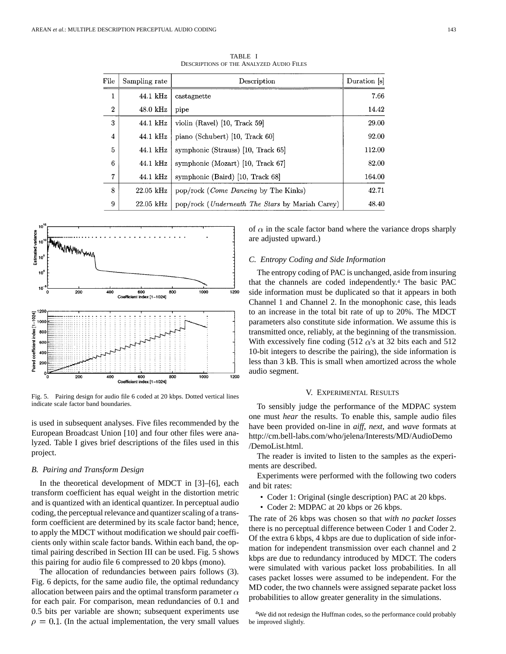| File           | Sampling rate      | Description                                             | Duration [s] |
|----------------|--------------------|---------------------------------------------------------|--------------|
| 1              | 44.1 kHz           | castagnette                                             | 7.66         |
| $\overline{2}$ | $48.0 \text{ kHz}$ | pipe                                                    | 14.42        |
| 3              | 44.1 kHz           | violin $(Ravel)$ [10, Track 59]                         | 29.00        |
| 4              | 44.1 kHz           | piano (Schubert) [10, Track 60]                         | 92.00        |
| 5              | 44.1 kHz           | symphonic (Strauss) [10, Track 65]                      | 112.00       |
| 6              | 44.1 kHz           | symphonic (Mozart) $[10, \text{Track } 67]$             | 82.00        |
| $\overline{7}$ | 44.1 kHz           | symphonic (Baird) [10, Track 68]                        | 164.00       |
| 8              | $22.05$ kHz        | pop/rock ( <i>Come Dancing</i> by The Kinks)            | 42.71        |
| 9              | 22.05 kHz          | pop/rock ( <i>Underneath The Stars</i> by Mariah Carey) | 48.40        |

TABLE I DESCRIPTIONS OF THE ANALYZED AUDIO FILES



Fig. 5. Pairing design for audio file 6 coded at 20 kbps. Dotted vertical lines indicate scale factor band boundaries.

is used in subsequent analyses. Five files recommended by the European Broadcast Union [10] and four other files were analyzed. Table I gives brief descriptions of the files used in this project.

#### *B. Pairing and Transform Design*

In the theoretical development of MDCT in [3]–[6], each transform coefficient has equal weight in the distortion metric and is quantized with an identical quantizer. In perceptual audio coding, the perceptual relevance and quantizer scaling of a transform coefficient are determined by its scale factor band; hence, to apply the MDCT without modification we should pair coefficients only within scale factor bands. Within each band, the optimal pairing described in Section III can be used. Fig. 5 shows this pairing for audio file 6 compressed to 20 kbps (mono).

The allocation of redundancies between pairs follows (3). Fig. 6 depicts, for the same audio file, the optimal redundancy allocation between pairs and the optimal transform parameter  $\alpha$ for each pair. For comparison, mean redundancies of 0.1 and 0.5 bits per variable are shown; subsequent experiments use  $\rho = 0.1$ . (In the actual implementation, the very small values of  $\alpha$  in the scale factor band where the variance drops sharply are adjusted upward.)

# *C. Entropy Coding and Side Information*

The entropy coding of PAC is unchanged, aside from insuring that the channels are coded independently.4 The basic PAC side information must be duplicated so that it appears in both Channel 1 and Channel 2. In the monophonic case, this leads to an increase in the total bit rate of up to 20%. The MDCT parameters also constitute side information. We assume this is transmitted once, reliably, at the beginning of the transmission. With excessively fine coding (512  $\alpha$ 's at 32 bits each and 512 10-bit integers to describe the pairing), the side information is less than 3 kB. This is small when amortized across the whole audio segment.

#### V. EXPERIMENTAL RESULTS

To sensibly judge the performance of the MDPAC system one must *hear* the results. To enable this, sample audio files have been provided on-line in *aiff*, *next*, and *wave* formats at http://cm.bell-labs.com/who/jelena/Interests/MD/AudioDemo /DemoList.html.

The reader is invited to listen to the samples as the experiments are described.

Experiments were performed with the following two coders and bit rates:

- Coder 1: Original (single description) PAC at 20 kbps.
- Coder 2: MDPAC at 20 kbps or 26 kbps.

The rate of 26 kbps was chosen so that *with no packet losses* there is no perceptual difference between Coder 1 and Coder 2. Of the extra 6 kbps, 4 kbps are due to duplication of side information for independent transmission over each channel and 2 kbps are due to redundancy introduced by MDCT. The coders were simulated with various packet loss probabilities. In all cases packet losses were assumed to be independent. For the MD coder, the two channels were assigned separate packet loss probabilities to allow greater generality in the simulations.

<sup>4</sup>We did not redesign the Huffman codes, so the performance could probably be improved slightly.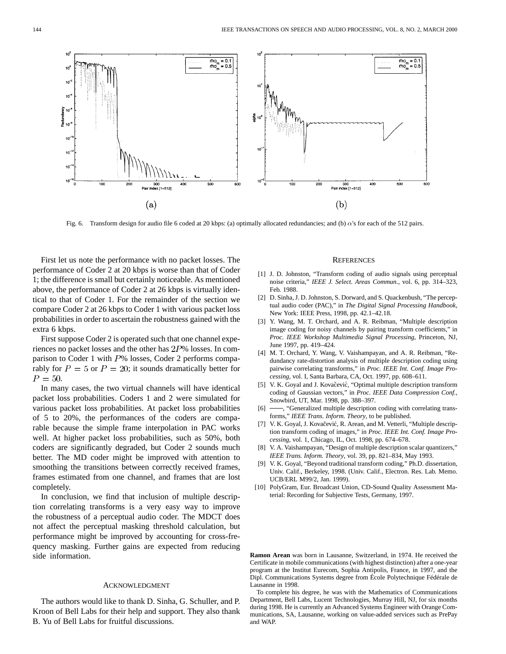

Fig. 6. Transform design for audio file 6 coded at 20 kbps: (a) optimally allocated redundancies; and (b)  $\alpha$ 's for each of the 512 pairs.

First let us note the performance with no packet losses. The performance of Coder 2 at 20 kbps is worse than that of Coder 1; the difference is small but certainly noticeable. As mentioned above, the performance of Coder 2 at 26 kbps is virtually identical to that of Coder 1. For the remainder of the section we compare Coder 2 at 26 kbps to Coder 1 with various packet loss probabilities in order to ascertain the robustness gained with the extra 6 kbps.

First suppose Coder 2 is operated such that one channel experiences no packet losses and the other has  $2P\%$  losses. In comparison to Coder 1 with  $P\%$  losses, Coder 2 performs comparably for  $P = 5$  or  $P = 20$ ; it sounds dramatically better for  $P = 50$ .

In many cases, the two virtual channels will have identical packet loss probabilities. Coders 1 and 2 were simulated for various packet loss probabilities. At packet loss probabilities of 5 to 20%, the performances of the coders are comparable because the simple frame interpolation in PAC works well. At higher packet loss probabilities, such as 50%, both coders are significantly degraded, but Coder 2 sounds much better. The MD coder might be improved with attention to smoothing the transitions between correctly received frames, frames estimated from one channel, and frames that are lost completely.

In conclusion, we find that inclusion of multiple description correlating transforms is a very easy way to improve the robustness of a perceptual audio coder. The MDCT does not affect the perceptual masking threshold calculation, but performance might be improved by accounting for cross-frequency masking. Further gains are expected from reducing side information.

#### ACKNOWLEDGMENT

The authors would like to thank D. Sinha, G. Schuller, and P. Kroon of Bell Labs for their help and support. They also thank B. Yu of Bell Labs for fruitful discussions.

#### **REFERENCES**

- [1] J. D. Johnston, "Transform coding of audio signals using perceptual noise criteria," *IEEE J. Select. Areas Commun.*, vol. 6, pp. 314–323, Feb. 1988.
- [2] D. Sinha, J. D. Johnston, S. Dorward, and S. Quackenbush, "The perceptual audio coder (PAC)," in *The Digital Signal Processing Handbook*, New York: IEEE Press, 1998, pp. 42.1–42.18.
- [3] Y. Wang, M. T. Orchard, and A. R. Reibman, "Multiple description image coding for noisy channels by pairing transform coefficients," in *Proc. IEEE Workshop Multimedia Signal Processing*, Princeton, NJ, June 1997, pp. 419–424.
- [4] M. T. Orchard, Y. Wang, V. Vaishampayan, and A. R. Reibman, "Redundancy rate-distortion analysis of multiple description coding using pairwise correlating transforms," in *Proc. IEEE Int. Conf. Image Processing*, vol. I, Santa Barbara, CA, Oct. 1997, pp. 608–611.
- [5] V. K. Goyal and J. Kovačević, "Optimal multiple description transform coding of Gaussian vectors," in *Proc. IEEE Data Compression Conf.*, Snowbird, UT, Mar. 1998, pp. 388–397.
- [6]  $\longrightarrow$ , "Generalized multiple description coding with correlating transforms," *IEEE Trans. Inform. Theory*, to be published.
- [7] V. K. Goyal, J. Kovačević, R. Arean, and M. Vetterli, "Multiple description transform coding of images," in *Proc. IEEE Int. Conf. Image Processing*, vol. 1, Chicago, IL, Oct. 1998, pp. 674–678.
- [8] V. A. Vaishampayan, "Design of multiple description scalar quantizers," *IEEE Trans. Inform. Theory*, vol. 39, pp. 821–834, May 1993.
- [9] V. K. Goyal, "Beyond traditional transform coding," Ph.D. dissertation, Univ. Calif., Berkeley, 1998. (Univ. Calif., Electron. Res. Lab. Memo. UCB/ERL M99/2, Jan. 1999).
- [10] PolyGram, Eur. Broadcast Union, CD-Sound Quality Assessment Material: Recording for Subjective Tests, Germany, 1997.

**Ramon Arean** was born in Lausanne, Switzerland, in 1974. He received the Certificate in mobile communications (with highest distinction) after a one-year program at the Institut Eurecom, Sophia Antipolis, France, in 1997, and the Dipl. Communications Systems degree from École Polytechnique Fédérale de Lausanne in 1998.

To complete his degree, he was with the Mathematics of Communications Department, Bell Labs, Lucent Technologies, Murray Hill, NJ, for six months during 1998. He is currently an Advanced Systems Engineer with Orange Communications, SA, Lausanne, working on value-added services such as PrePay and WAP.